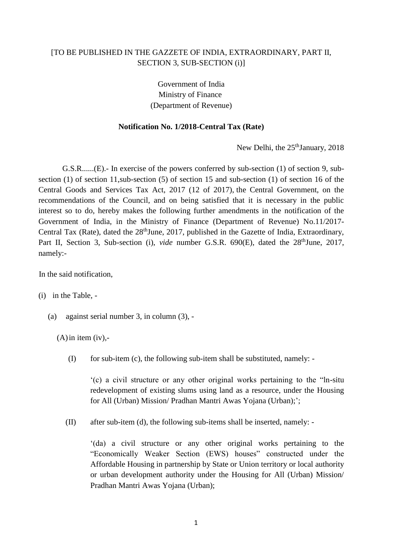## [TO BE PUBLISHED IN THE GAZZETE OF INDIA, EXTRAORDINARY, PART II, SECTION 3, SUB-SECTION (i)]

Government of India Ministry of Finance (Department of Revenue)

## **Notification No. 1/2018-Central Tax (Rate)**

New Delhi, the 25<sup>th</sup>January, 2018

G.S.R......(E).- In exercise of the powers conferred by sub-section (1) of section 9, subsection (1) of section 11,sub-section (5) of section 15 and sub-section (1) of section 16 of the Central Goods and Services Tax Act, 2017 (12 of 2017), the Central Government, on the recommendations of the Council, and on being satisfied that it is necessary in the public interest so to do, hereby makes the following further amendments in the notification of the Government of India, in the Ministry of Finance (Department of Revenue) No.11/2017- Central Tax (Rate), dated the 28<sup>th</sup>June, 2017, published in the Gazette of India, Extraordinary, Part II, Section 3, Sub-section (i), *vide* number G.S.R. 690(E), dated the 28<sup>th</sup>June, 2017, namely:-

In the said notification,

(i) in the Table, -

(a) against serial number 3, in column (3), -

 $(A)$  in item (iv),-

(I) for sub-item (c), the following sub-item shall be substituted, namely: -

'(c) a civil structure or any other original works pertaining to the "ln-situ redevelopment of existing slums using land as a resource, under the Housing for All (Urban) Mission/ Pradhan Mantri Awas Yojana (Urban);';

(II) after sub-item (d), the following sub-items shall be inserted, namely: -

'(da) a civil structure or any other original works pertaining to the "Economically Weaker Section (EWS) houses" constructed under the Affordable Housing in partnership by State or Union territory or local authority or urban development authority under the Housing for All (Urban) Mission/ Pradhan Mantri Awas Yojana (Urban);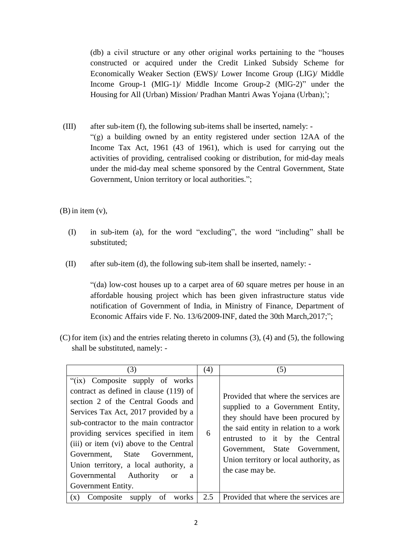(db) a civil structure or any other original works pertaining to the "houses constructed or acquired under the Credit Linked Subsidy Scheme for Economically Weaker Section (EWS)/ Lower Income Group (LIG)/ Middle Income Group-1 (MlG-1)/ Middle Income Group-2 (MlG-2)" under the Housing for All (Urban) Mission/ Pradhan Mantri Awas Yojana (Urban);';

(III) after sub-item (f), the following sub-items shall be inserted, namely: - "(g) a building owned by an entity registered under section 12AA of the Income Tax Act, 1961 (43 of 1961), which is used for carrying out the activities of providing, centralised cooking or distribution, for mid-day meals under the mid-day meal scheme sponsored by the Central Government, State Government, Union territory or local authorities.";

(B) in item (v),

- (I) in sub-item (a), for the word "excluding", the word "including" shall be substituted;
- (II) after sub-item (d), the following sub-item shall be inserted, namely: -

"(da) low-cost houses up to a carpet area of 60 square metres per house in an affordable housing project which has been given infrastructure status vide notification of Government of India, in Ministry of Finance, Department of Economic Affairs vide F. No. 13/6/2009-INF, dated the 30th March,2017;";

(C) for item (ix) and the entries relating thereto in columns (3), (4) and (5), the following shall be substituted, namely: -

| (3)                                                                                                                                                                                                                                                                                                                                                                                                                             | (4) | (5)                                                                                                                                                                                                                                                                                     |
|---------------------------------------------------------------------------------------------------------------------------------------------------------------------------------------------------------------------------------------------------------------------------------------------------------------------------------------------------------------------------------------------------------------------------------|-----|-----------------------------------------------------------------------------------------------------------------------------------------------------------------------------------------------------------------------------------------------------------------------------------------|
| "(ix) Composite supply of works<br>contract as defined in clause (119) of<br>section 2 of the Central Goods and<br>Services Tax Act, 2017 provided by a<br>sub-contractor to the main contractor<br>providing services specified in item<br>(iii) or item (vi) above to the Central<br>Government, State Government,<br>Union territory, a local authority, a<br>Governmental Authority<br><b>or</b><br>a<br>Government Entity. | 6   | Provided that where the services are<br>supplied to a Government Entity,<br>they should have been procured by<br>the said entity in relation to a work<br>entrusted to it by the Central<br>Government, State Government,<br>Union territory or local authority, as<br>the case may be. |
| of<br>Composite<br>works<br>(x)<br>supply                                                                                                                                                                                                                                                                                                                                                                                       | 2.5 | Provided that where the services are.                                                                                                                                                                                                                                                   |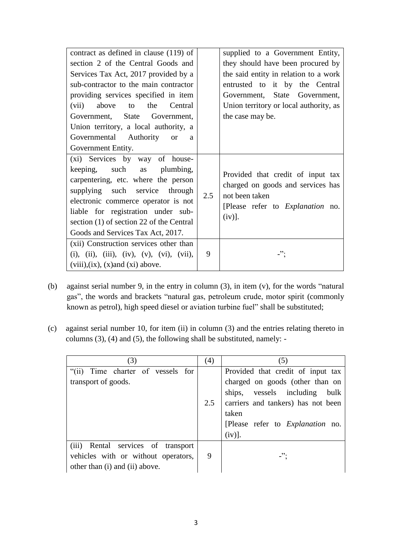| contract as defined in clause (119) of                                                                                                                                                                                                                                                              |     | supplied to a Government Entity,                                                                                                          |
|-----------------------------------------------------------------------------------------------------------------------------------------------------------------------------------------------------------------------------------------------------------------------------------------------------|-----|-------------------------------------------------------------------------------------------------------------------------------------------|
| section 2 of the Central Goods and                                                                                                                                                                                                                                                                  |     | they should have been procured by                                                                                                         |
| Services Tax Act, 2017 provided by a                                                                                                                                                                                                                                                                |     | the said entity in relation to a work                                                                                                     |
| sub-contractor to the main contractor                                                                                                                                                                                                                                                               |     | entrusted to it by the Central                                                                                                            |
| providing services specified in item                                                                                                                                                                                                                                                                |     | Government, State Government,                                                                                                             |
| Central<br>(vii)<br>above to<br>the                                                                                                                                                                                                                                                                 |     | Union territory or local authority, as                                                                                                    |
| Government, State Government,                                                                                                                                                                                                                                                                       |     | the case may be.                                                                                                                          |
| Union territory, a local authority, a                                                                                                                                                                                                                                                               |     |                                                                                                                                           |
| Governmental Authority<br><b>or</b><br>a                                                                                                                                                                                                                                                            |     |                                                                                                                                           |
| Government Entity.                                                                                                                                                                                                                                                                                  |     |                                                                                                                                           |
| (xi) Services by way of house-<br>keeping, such as plumbing,<br>carpentering, etc. where the person<br>supplying such service through<br>electronic commerce operator is not<br>liable for registration under sub-<br>section (1) of section 22 of the Central<br>Goods and Services Tax Act, 2017. | 2.5 | Provided that credit of input tax<br>charged on goods and services has<br>not been taken<br>[Please refer to Explanation no.<br>$(iv)$ ]. |
| (xii) Construction services other than<br>(i), (ii), (iii), (iv), (v), (vi), (vii),<br>$(viii), (ix), (x)$ and $(xi)$ above.                                                                                                                                                                        | 9   | $\cdot$ ":                                                                                                                                |

- (b) against serial number 9, in the entry in column (3), in item (v), for the words "natural gas", the words and brackets "natural gas, petroleum crude, motor spirit (commonly known as petrol), high speed diesel or aviation turbine fuel" shall be substituted;
- (c) against serial number 10, for item (ii) in column (3) and the entries relating thereto in columns (3), (4) and (5), the following shall be substituted, namely: -

| (3)                                   | (4) | (5)                                     |
|---------------------------------------|-----|-----------------------------------------|
| Time charter of vessels for<br>``(ii) |     | Provided that credit of input tax       |
| transport of goods.                   |     | charged on goods (other than on         |
|                                       |     | ships, vessels including<br>bulk        |
|                                       | 2.5 | carriers and tankers) has not been      |
|                                       |     | taken                                   |
|                                       |     | [Please refer to <i>Explanation</i> no. |
|                                       |     | (iv)].                                  |
| (iii) Rental services of transport    |     |                                         |
| vehicles with or without operators,   | 9   |                                         |
| other than (i) and (ii) above.        |     |                                         |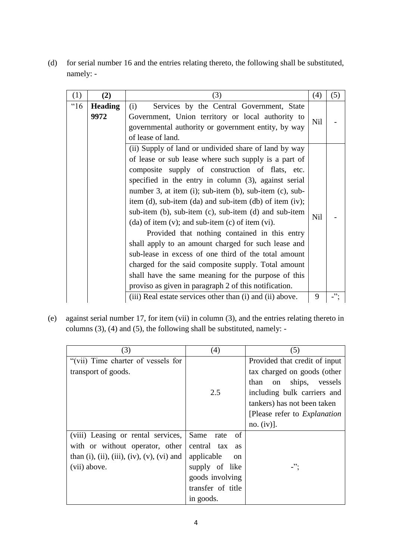(d) for serial number 16 and the entries relating thereto, the following shall be substituted, namely: -

| (1)  | (2)                                                                                                                                                                                                                                                                                                                                                                                                                                                                                                                                                                                                                                                                                                                                                                                                                                                                                                                                            | (3)                                                                                                                           | (4)        | (5) |
|------|------------------------------------------------------------------------------------------------------------------------------------------------------------------------------------------------------------------------------------------------------------------------------------------------------------------------------------------------------------------------------------------------------------------------------------------------------------------------------------------------------------------------------------------------------------------------------------------------------------------------------------------------------------------------------------------------------------------------------------------------------------------------------------------------------------------------------------------------------------------------------------------------------------------------------------------------|-------------------------------------------------------------------------------------------------------------------------------|------------|-----|
| "16" | <b>Heading</b><br>9972                                                                                                                                                                                                                                                                                                                                                                                                                                                                                                                                                                                                                                                                                                                                                                                                                                                                                                                         | Government, Union territory or local authority to<br>governmental authority or government entity, by way<br>of lease of land. |            |     |
|      | Services by the Central Government, State<br>(i)<br>Nil<br>(ii) Supply of land or undivided share of land by way<br>of lease or sub lease where such supply is a part of<br>composite supply of construction of flats, etc.<br>specified in the entry in column (3), against serial<br>number 3, at item (i); sub-item (b), sub-item (c), sub-<br>item $(d)$ , sub-item $(da)$ and sub-item $(db)$ of item $(iv)$ ;<br>sub-item (b), sub-item (c), sub-item (d) and sub-item<br>$(da)$ of item $(v)$ ; and sub-item $(c)$ of item $(vi)$ .<br>Provided that nothing contained in this entry<br>shall apply to an amount charged for such lease and<br>sub-lease in excess of one third of the total amount<br>charged for the said composite supply. Total amount<br>shall have the same meaning for the purpose of this<br>proviso as given in paragraph 2 of this notification.<br>(iii) Real estate services other than (i) and (ii) above. |                                                                                                                               | <b>Nil</b> |     |
|      |                                                                                                                                                                                                                                                                                                                                                                                                                                                                                                                                                                                                                                                                                                                                                                                                                                                                                                                                                |                                                                                                                               | 9          | "   |

(e) against serial number 17, for item (vii) in column (3), and the entries relating thereto in columns (3), (4) and (5), the following shall be substituted, namely: -

| (3)                                        | (4)                         | (5)                                        |
|--------------------------------------------|-----------------------------|--------------------------------------------|
| "(vii) Time charter of vessels for         |                             | Provided that credit of input              |
| transport of goods.                        |                             | tax charged on goods (other                |
|                                            |                             | ships,<br>than<br>vessels<br><sub>on</sub> |
|                                            | 2.5                         | including bulk carriers and                |
|                                            |                             | tankers) has not been taken                |
|                                            |                             | [Please refer to <i>Explanation</i> ]      |
|                                            |                             | no. $(iv)$ ].                              |
| (viii) Leasing or rental services,         | Same<br>of<br>rate          |                                            |
| with or without operator, other            | central tax<br><b>as</b>    |                                            |
| than (i), (ii), (iii), (iv), (v), (vi) and | applicable<br><sub>on</sub> |                                            |
| (vii) above.                               | supply of like              | -":                                        |
|                                            | goods involving             |                                            |
|                                            | transfer of title           |                                            |
|                                            | in goods.                   |                                            |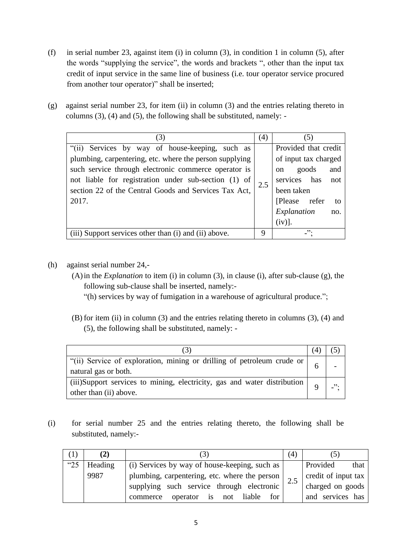- (f) in serial number 23, against item (i) in column (3), in condition 1 in column (5), after the words "supplying the service", the words and brackets ", other than the input tax credit of input service in the same line of business (i.e. tour operator service procured from another tour operator)" shall be inserted;
- (g) against serial number 23, for item (ii) in column (3) and the entries relating thereto in columns (3), (4) and (5), the following shall be substituted, namely: -

| (3)                                                     |     | (5)                  |
|---------------------------------------------------------|-----|----------------------|
| "(ii) Services by way of house-keeping, such as         |     | Provided that credit |
| plumbing, carpentering, etc. where the person supplying |     | of input tax charged |
| such service through electronic commerce operator is    |     | on goods<br>and      |
| not liable for registration under sub-section (1) of    | 2.5 | services has<br>not  |
| section 22 of the Central Goods and Services Tax Act,   |     | been taken           |
| 2017.                                                   |     | [Please refer<br>to  |
|                                                         |     | Explanation<br>no.   |
|                                                         |     | $(iv)$ ].            |
| (iii) Support services other than (i) and (ii) above.   | 9   | -".                  |

- (h) against serial number 24,-
	- (A)in the *Explanation* to item (i) in column (3), in clause (i), after sub-clause (g), the following sub-clause shall be inserted, namely:-
		- "(h) services by way of fumigation in a warehouse of agricultural produce.";
	- (B) for item (ii) in column (3) and the entries relating thereto in columns (3), (4) and (5), the following shall be substituted, namely: -

| "(ii) Service of exploration, mining or drilling of petroleum crude or  <br>natural gas or both.           |  |
|------------------------------------------------------------------------------------------------------------|--|
| (iii)Support services to mining, electricity, gas and water distribution $\vert$<br>other than (ii) above. |  |

(i) for serial number 25 and the entries relating thereto, the following shall be substituted, namely:-

|      | (2)     |                                                 | (4)              | (5)                 |
|------|---------|-------------------------------------------------|------------------|---------------------|
| "25" | Heading | (i) Services by way of house-keeping, such as   | Provided<br>that |                     |
|      | 9987    | plumbing, carpentering, etc. where the person   |                  | credit of input tax |
|      |         | supplying such service through electronic       | 2.5              | charged on goods    |
|      |         | liable<br>operator is<br>for<br>commerce<br>not |                  | and services has    |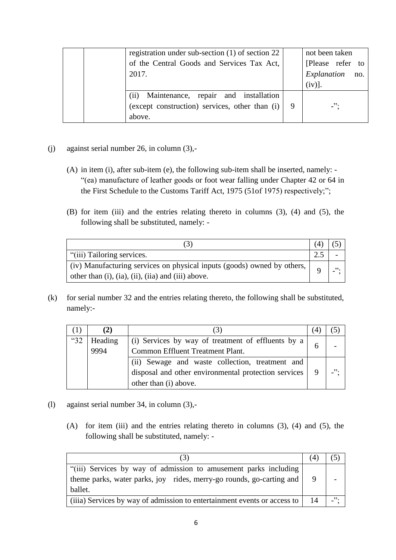| registration under sub-section $(1)$ of section 22<br>of the Central Goods and Services Tax Act,<br>2017. | not been taken<br>[Please refer to<br>Explanation<br>no.<br>$(iv)$ ]. |
|-----------------------------------------------------------------------------------------------------------|-----------------------------------------------------------------------|
| (ii)<br>Maintenance, repair and installation<br>(except construction) services, other than (i)<br>above.  | $\cdot$                                                               |

- (j) against serial number 26, in column (3),-
	- (A) in item (i), after sub-item (e), the following sub-item shall be inserted, namely: "(ea) manufacture of leather goods or foot wear falling under Chapter 42 or 64 in the First Schedule to the Customs Tariff Act, 1975 (51of 1975) respectively;";
	- (B) for item (iii) and the entries relating thereto in columns (3), (4) and (5), the following shall be substituted, namely: -

| "(iii) Tailoring services.                                              |  |      |
|-------------------------------------------------------------------------|--|------|
| (iv) Manufacturing services on physical inputs (goods) owned by others, |  | , 2. |
| other than (i), (ia), (ii), (iia) and (iii) above.                      |  |      |

(k) for serial number 32 and the entries relating thereto, the following shall be substituted, namely:-

|      | (2)     |                                                      |        |
|------|---------|------------------------------------------------------|--------|
| "32" | Heading | (i) Services by way of treatment of effluents by a   |        |
|      | 9994    | Common Effluent Treatment Plant.                     |        |
|      |         | (ii) Sewage and waste collection, treatment and      |        |
|      |         | disposal and other environmental protection services | , 2, 3 |
|      |         | other than (i) above.                                |        |

- (l) against serial number 34, in column (3),-
	- (A) for item (iii) and the entries relating thereto in columns (3), (4) and (5), the following shall be substituted, namely: -

| "(iii) Services by way of admission to amusement parks including<br>theme parks, water parks, joy rides, merry-go rounds, go-carting and<br>ballet. |    |        |
|-----------------------------------------------------------------------------------------------------------------------------------------------------|----|--------|
| (iiia) Services by way of admission to entertainment events or access to                                                                            | 14 | , 2, 3 |